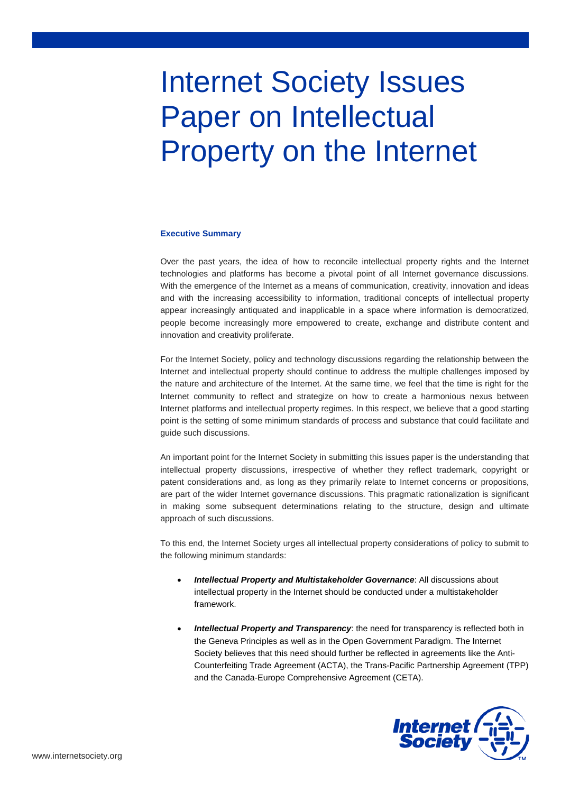# Internet Society Issues Paper on Intellectual Property on the Internet

## **Executive Summary**

Over the past years, the idea of how to reconcile intellectual property rights and the Internet technologies and platforms has become a pivotal point of all Internet governance discussions. With the emergence of the Internet as a means of communication, creativity, innovation and ideas and with the increasing accessibility to information, traditional concepts of intellectual property appear increasingly antiquated and inapplicable in a space where information is democratized, people become increasingly more empowered to create, exchange and distribute content and innovation and creativity proliferate.

For the Internet Society, policy and technology discussions regarding the relationship between the Internet and intellectual property should continue to address the multiple challenges imposed by the nature and architecture of the Internet. At the same time, we feel that the time is right for the Internet community to reflect and strategize on how to create a harmonious nexus between Internet platforms and intellectual property regimes. In this respect, we believe that a good starting point is the setting of some minimum standards of process and substance that could facilitate and guide such discussions.

An important point for the Internet Society in submitting this issues paper is the understanding that intellectual property discussions, irrespective of whether they reflect trademark, copyright or patent considerations and, as long as they primarily relate to Internet concerns or propositions, are part of the wider Internet governance discussions. This pragmatic rationalization is significant in making some subsequent determinations relating to the structure, design and ultimate approach of such discussions.

To this end, the Internet Society urges all intellectual property considerations of policy to submit to the following minimum standards:

- *Intellectual Property and Multistakeholder Governance*: All discussions about intellectual property in the Internet should be conducted under a multistakeholder framework.
- **Intellectual Property and Transparency**: the need for transparency is reflected both in the Geneva Principles as well as in the Open Government Paradigm. The Internet Society believes that this need should further be reflected in agreements like the Anti-Counterfeiting Trade Agreement (ACTA), the Trans-Pacific Partnership Agreement (TPP) and the Canada-Europe Comprehensive Agreement (CETA).

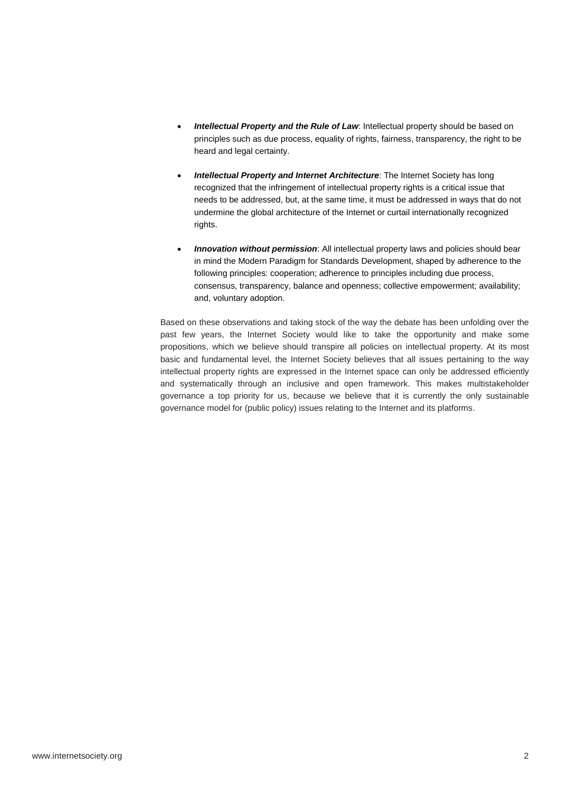- *Intellectual Property and the Rule of Law*: Intellectual property should be based on principles such as due process, equality of rights, fairness, transparency, the right to be heard and legal certainty.
- *Intellectual Property and Internet Architecture*: The Internet Society has long recognized that the infringement of intellectual property rights is a critical issue that needs to be addressed, but, at the same time, it must be addressed in ways that do not undermine the global architecture of the Internet or curtail internationally recognized rights.
- *Innovation without permission*: All intellectual property laws and policies should bear in mind the Modern Paradigm for Standards Development, shaped by adherence to the following principles: cooperation; adherence to principles including due process, consensus, transparency, balance and openness; collective empowerment; availability; and, voluntary adoption.

Based on these observations and taking stock of the way the debate has been unfolding over the past few years, the Internet Society would like to take the opportunity and make some propositions, which we believe should transpire all policies on intellectual property. At its most basic and fundamental level, the Internet Society believes that all issues pertaining to the way intellectual property rights are expressed in the Internet space can only be addressed efficiently and systematically through an inclusive and open framework. This makes multistakeholder governance a top priority for us, because we believe that it is currently the only sustainable governance model for (public policy) issues relating to the Internet and its platforms.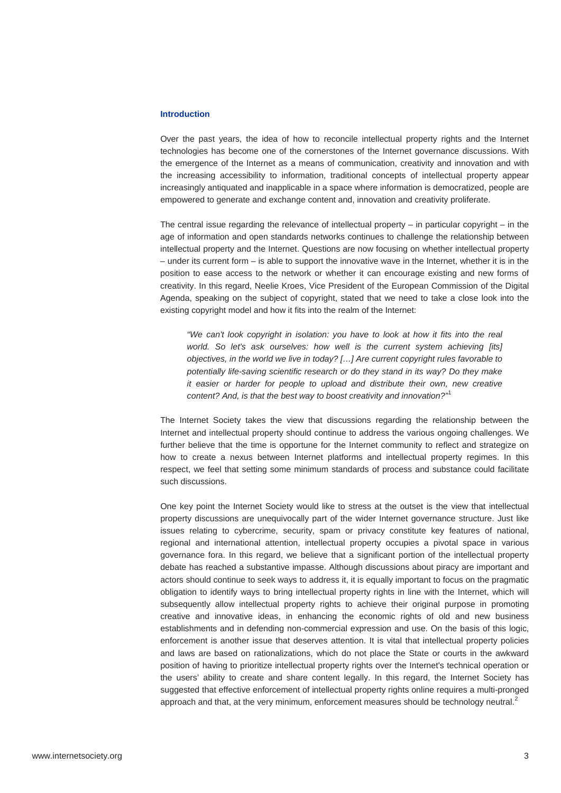## **Introduction**

Over the past years, the idea of how to reconcile intellectual property rights and the Internet technologies has become one of the cornerstones of the Internet governance discussions. With the emergence of the Internet as a means of communication, creativity and innovation and with the increasing accessibility to information, traditional concepts of intellectual property appear increasingly antiquated and inapplicable in a space where information is democratized, people are empowered to generate and exchange content and, innovation and creativity proliferate.

The central issue regarding the relevance of intellectual property – in particular copyright – in the age of information and open standards networks continues to challenge the relationship between intellectual property and the Internet. Questions are now focusing on whether intellectual property – under its current form – is able to support the innovative wave in the Internet, whether it is in the position to ease access to the network or whether it can encourage existing and new forms of creativity. In this regard, Neelie Kroes, Vice President of the European Commission of the Digital Agenda, speaking on the subject of copyright, stated that we need to take a close look into the existing copyright model and how it fits into the realm of the Internet:

*"We can't look copyright in isolation: you have to look at how it fits into the real*  world. So let's ask ourselves: how well is the current system achieving [its] *objectives, in the world we live in today? […] Are current copyright rules favorable to potentially life-saving scientific research or do they stand in its way? Do they make it easier or harder for people to upload and distribute their own, new creative content? And, is that the best way to boost creativity and innovation?"* [1](#page-13-0)

The Internet Society takes the view that discussions regarding the relationship between the Internet and intellectual property should continue to address the various ongoing challenges. We further believe that the time is opportune for the Internet community to reflect and strategize on how to create a nexus between Internet platforms and intellectual property regimes. In this respect, we feel that setting some minimum standards of process and substance could facilitate such discussions.

One key point the Internet Society would like to stress at the outset is the view that intellectual property discussions are unequivocally part of the wider Internet governance structure. Just like issues relating to cybercrime, security, spam or privacy constitute key features of national, regional and international attention, intellectual property occupies a pivotal space in various governance fora. In this regard, we believe that a significant portion of the intellectual property debate has reached a substantive impasse. Although discussions about piracy are important and actors should continue to seek ways to address it, it is equally important to focus on the pragmatic obligation to identify ways to bring intellectual property rights in line with the Internet, which will subsequently allow intellectual property rights to achieve their original purpose in promoting creative and innovative ideas, in enhancing the economic rights of old and new business establishments and in defending non-commercial expression and use. On the basis of this logic, enforcement is another issue that deserves attention. It is vital that intellectual property policies and laws are based on rationalizations, which do not place the State or courts in the awkward position of having to prioritize intellectual property rights over the Internet's technical operation or the users' ability to create and share content legally. In this regard, the Internet Society has suggested that effective enforcement of intellectual property rights online requires a multi-pronged approach and that, at the very minimum, enforcement measures should be technology neutral. $^2$  $^2$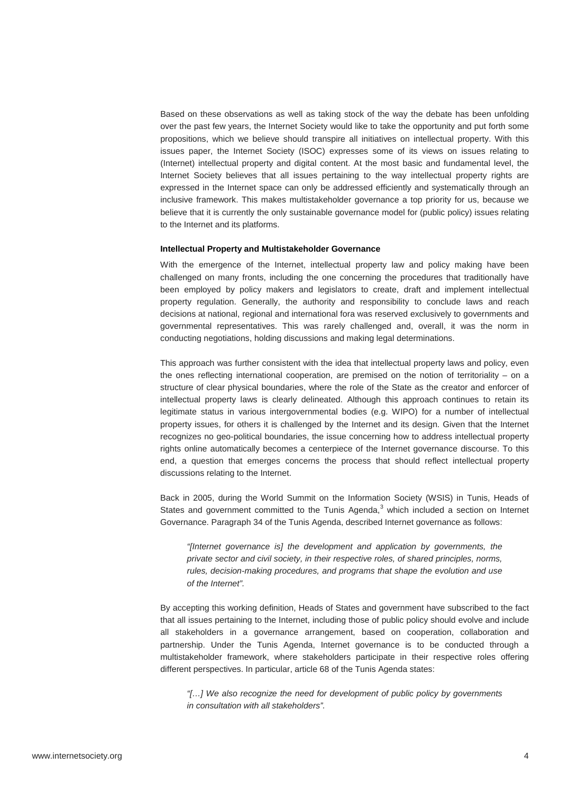Based on these observations as well as taking stock of the way the debate has been unfolding over the past few years, the Internet Society would like to take the opportunity and put forth some propositions, which we believe should transpire all initiatives on intellectual property. With this issues paper, the Internet Society (ISOC) expresses some of its views on issues relating to (Internet) intellectual property and digital content. At the most basic and fundamental level, the Internet Society believes that all issues pertaining to the way intellectual property rights are expressed in the Internet space can only be addressed efficiently and systematically through an inclusive framework. This makes multistakeholder governance a top priority for us, because we believe that it is currently the only sustainable governance model for (public policy) issues relating to the Internet and its platforms.

## **Intellectual Property and Multistakeholder Governance**

With the emergence of the Internet, intellectual property law and policy making have been challenged on many fronts, including the one concerning the procedures that traditionally have been employed by policy makers and legislators to create, draft and implement intellectual property regulation. Generally, the authority and responsibility to conclude laws and reach decisions at national, regional and international fora was reserved exclusively to governments and governmental representatives. This was rarely challenged and, overall, it was the norm in conducting negotiations, holding discussions and making legal determinations.

This approach was further consistent with the idea that intellectual property laws and policy, even the ones reflecting international cooperation, are premised on the notion of territoriality – on a structure of clear physical boundaries, where the role of the State as the creator and enforcer of intellectual property laws is clearly delineated. Although this approach continues to retain its legitimate status in various intergovernmental bodies (e.g. WIPO) for a number of intellectual property issues, for others it is challenged by the Internet and its design. Given that the Internet recognizes no geo-political boundaries, the issue concerning how to address intellectual property rights online automatically becomes a centerpiece of the Internet governance discourse. To this end, a question that emerges concerns the process that should reflect intellectual property discussions relating to the Internet.

Back in 2005, during the World Summit on the Information Society (WSIS) in Tunis, Heads of States and government committed to the Tunis Agenda, $3$  which included a section on Internet Governance. Paragraph 34 of the Tunis Agenda, described Internet governance as follows:

*"[Internet governance is] the development and application by governments, the private sector and civil society, in their respective roles, of shared principles, norms, rules, decision-making procedures, and programs that shape the evolution and use of the Internet".* 

By accepting this working definition, Heads of States and government have subscribed to the fact that all issues pertaining to the Internet, including those of public policy should evolve and include all stakeholders in a governance arrangement, based on cooperation, collaboration and partnership. Under the Tunis Agenda, Internet governance is to be conducted through a multistakeholder framework, where stakeholders participate in their respective roles offering different perspectives. In particular, article 68 of the Tunis Agenda states:

*"[…] We also recognize the need for development of public policy by governments in consultation with all stakeholders".*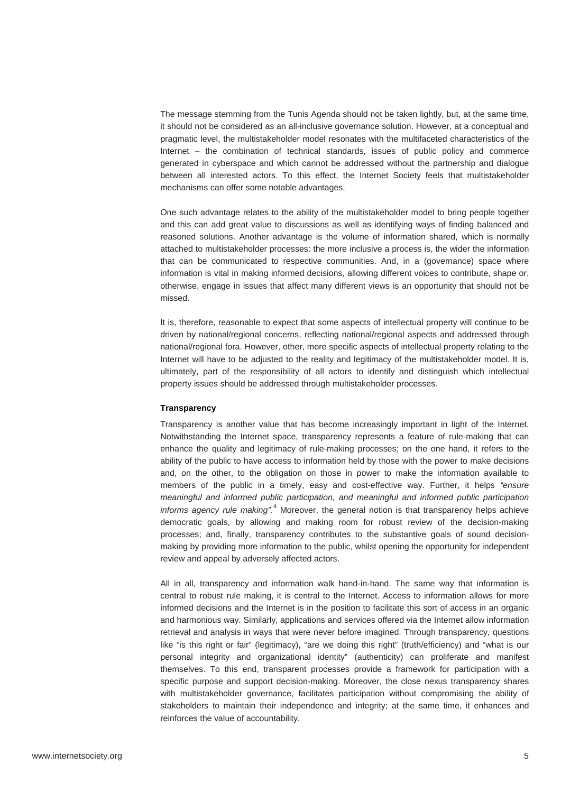The message stemming from the Tunis Agenda should not be taken lightly, but, at the same time, it should not be considered as an all-inclusive governance solution. However, at a conceptual and pragmatic level, the multistakeholder model resonates with the multifaceted characteristics of the Internet – the combination of technical standards, issues of public policy and commerce generated in cyberspace and which cannot be addressed without the partnership and dialogue between all interested actors. To this effect, the Internet Society feels that multistakeholder mechanisms can offer some notable advantages.

One such advantage relates to the ability of the multistakeholder model to bring people together and this can add great value to discussions as well as identifying ways of finding balanced and reasoned solutions. Another advantage is the volume of information shared, which is normally attached to multistakeholder processes: the more inclusive a process is, the wider the information that can be communicated to respective communities. And, in a (governance) space where information is vital in making informed decisions, allowing different voices to contribute, shape or, otherwise, engage in issues that affect many different views is an opportunity that should not be missed.

It is, therefore, reasonable to expect that some aspects of intellectual property will continue to be driven by national/regional concerns, reflecting national/regional aspects and addressed through national/regional fora. However, other, more specific aspects of intellectual property relating to the Internet will have to be adjusted to the reality and legitimacy of the multistakeholder model. It is, ultimately, part of the responsibility of all actors to identify and distinguish which intellectual property issues should be addressed through multistakeholder processes.

## **Transparency**

Transparency is another value that has become increasingly important in light of the Internet. Notwithstanding the Internet space, transparency represents a feature of rule-making that can enhance the quality and legitimacy of rule-making processes; on the one hand, it refers to the ability of the public to have access to information held by those with the power to make decisions and, on the other, to the obligation on those in power to make the information available to members of the public in a timely, easy and cost-effective way. Further, it helps *"ensure meaningful and informed public participation, and meaningful and informed public participation*  informs agency rule making".<sup>[4](#page-13-3)</sup> Moreover, the general notion is that transparency helps achieve democratic goals, by allowing and making room for robust review of the decision-making processes; and, finally, transparency contributes to the substantive goals of sound decisionmaking by providing more information to the public, whilst opening the opportunity for independent review and appeal by adversely affected actors.

All in all, transparency and information walk hand-in-hand. The same way that information is central to robust rule making, it is central to the Internet. Access to information allows for more informed decisions and the Internet is in the position to facilitate this sort of access in an organic and harmonious way. Similarly, applications and services offered via the Internet allow information retrieval and analysis in ways that were never before imagined. Through transparency, questions like "is this right or fair" (legitimacy), "are we doing this right" (truth/efficiency) and "what is our personal integrity and organizational identity" (authenticity) can proliferate and manifest themselves. To this end, transparent processes provide a framework for participation with a specific purpose and support decision-making. Moreover, the close nexus transparency shares with multistakeholder governance, facilitates participation without compromising the ability of stakeholders to maintain their independence and integrity; at the same time, it enhances and reinforces the value of accountability.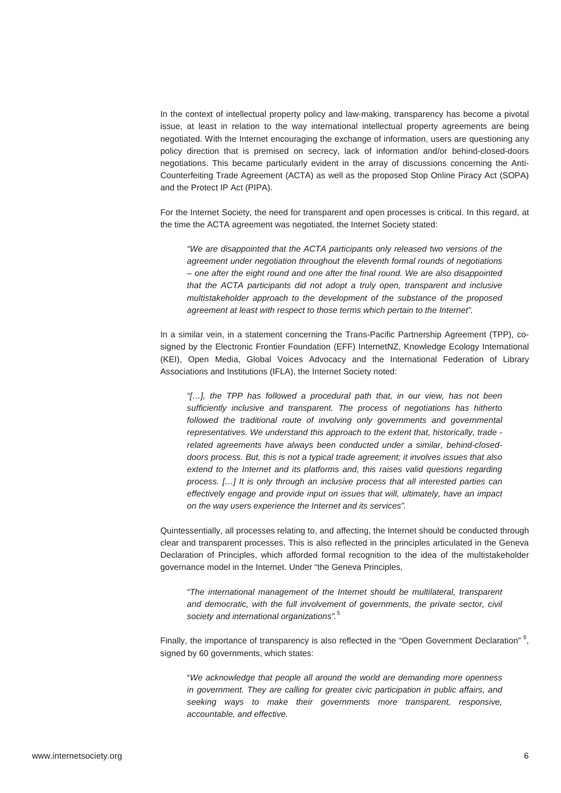In the context of intellectual property policy and law-making, transparency has become a pivotal issue, at least in relation to the way international intellectual property agreements are being negotiated. With the Internet encouraging the exchange of information, users are questioning any policy direction that is premised on secrecy, lack of information and/or behind-closed-doors negotiations. This became particularly evident in the array of discussions concerning the Anti-Counterfeiting Trade Agreement (ACTA) as well as the proposed Stop Online Piracy Act (SOPA) and the Protect IP Act (PIPA).

For the Internet Society, the need for transparent and open processes is critical. In this regard, at the time the ACTA agreement was negotiated, the Internet Society stated:

*"We are disappointed that the ACTA participants only released two versions of the agreement under negotiation throughout the eleventh formal rounds of negotiations – one after the eight round and one after the final round. We are also disappointed that the ACTA participants did not adopt a truly open, transparent and inclusive multistakeholder approach to the development of the substance of the proposed agreement at least with respect to those terms which pertain to the Internet".* 

In a similar vein, in a statement concerning the Trans-Pacific Partnership Agreement (TPP), cosigned by the Electronic Frontier Foundation (EFF) InternetNZ, Knowledge Ecology International (KEI), Open Media, Global Voices Advocacy and the International Federation of Library Associations and Institutions (IFLA), the Internet Society noted:

*"[…], the TPP has followed a procedural path that, in our view, has not been sufficiently inclusive and transparent. The process of negotiations has hitherto*  followed the traditional route of involving only governments and governmental *representatives. We understand this approach to the extent that, historically, trade related agreements have always been conducted under a similar, behind-closeddoors process. But, this is not a typical trade agreement; it involves issues that also*  extend to the Internet and its platforms and, this raises valid questions regarding *process. […] It is only through an inclusive process that all interested parties can effectively engage and provide input on issues that will, ultimately, have an impact on the way users experience the Internet and its services".*

Quintessentially, all processes relating to, and affecting, the Internet should be conducted through clear and transparent processes. This is also reflected in the principles articulated in the Geneva Declaration of Principles, which afforded formal recognition to the idea of the multistakeholder governance model in the Internet. Under "the Geneva Principles,

*"The international management of the Internet should be multilateral, transparent*  and democratic, with the full involvement of governments, the private sector, civil *society and international organizations".* [5](#page-13-4)

Finally, the importance of transparency is also reflected in the "Open Government Declaration" <sup>[6](#page-13-5)</sup>, signed by 60 governments, which states:

"*We acknowledge that people all around the world are demanding more openness in government. They are calling for greater civic participation in public affairs, and seeking ways to make their governments more transparent, responsive, accountable, and effective.*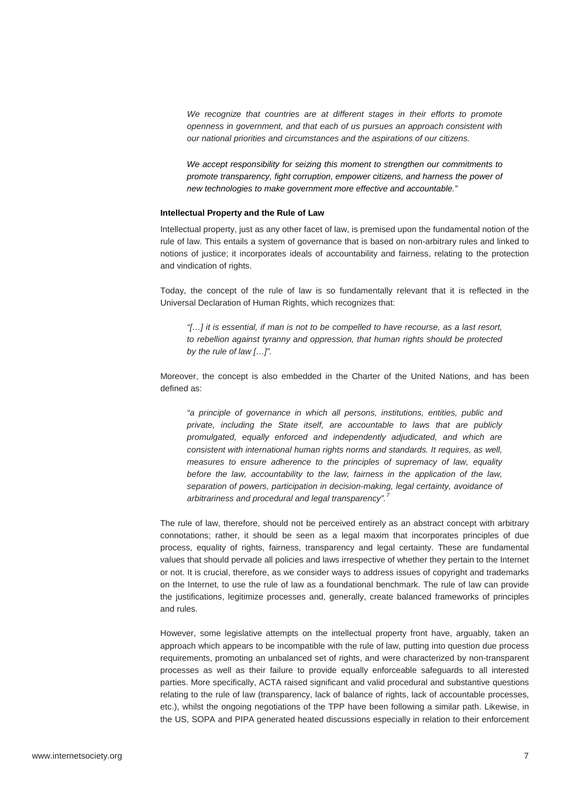We recognize that countries are at different stages in their efforts to promote *openness in government, and that each of us pursues an approach consistent with our national priorities and circumstances and the aspirations of our citizens.*

*We accept responsibility for seizing this moment to strengthen our commitments to promote transparency, fight corruption, empower citizens, and harness the power of new technologies to make government more effective and accountable."*

## **Intellectual Property and the Rule of Law**

Intellectual property, just as any other facet of law, is premised upon the fundamental notion of the rule of law. This entails a system of governance that is based on non-arbitrary rules and linked to notions of justice; it incorporates ideals of accountability and fairness, relating to the protection and vindication of rights.

Today, the concept of the rule of law is so fundamentally relevant that it is reflected in the Universal Declaration of Human Rights, which recognizes that:

*"[…] it is essential, if man is not to be compelled to have recourse, as a last resort, to rebellion against tyranny and oppression, that human rights should be protected by the rule of law […]".* 

Moreover, the concept is also embedded in the Charter of the United Nations, and has been defined as:

*"a principle of governance in which all persons, institutions, entities, public and private, including the State itself, are accountable to laws that are publicly promulgated, equally enforced and independently adjudicated, and which are consistent with international human rights norms and standards. It requires, as well, measures to ensure adherence to the principles of supremacy of law, equality*  before the law, accountability to the law, fairness in the application of the law, *separation of powers, participation in decision-making, legal certainty, avoidance of arbitrariness and procedural and legal transparency". [7](#page-13-6)*

The rule of law, therefore, should not be perceived entirely as an abstract concept with arbitrary connotations; rather, it should be seen as a legal maxim that incorporates principles of due process, equality of rights, fairness, transparency and legal certainty. These are fundamental values that should pervade all policies and laws irrespective of whether they pertain to the Internet or not. It is crucial, therefore, as we consider ways to address issues of copyright and trademarks on the Internet, to use the rule of law as a foundational benchmark. The rule of law can provide the justifications, legitimize processes and, generally, create balanced frameworks of principles and rules.

However, some legislative attempts on the intellectual property front have, arguably, taken an approach which appears to be incompatible with the rule of law, putting into question due process requirements, promoting an unbalanced set of rights, and were characterized by non-transparent processes as well as their failure to provide equally enforceable safeguards to all interested parties. More specifically, ACTA raised significant and valid procedural and substantive questions relating to the rule of law (transparency, lack of balance of rights, lack of accountable processes, etc.), whilst the ongoing negotiations of the TPP have been following a similar path. Likewise, in the US, SOPA and PIPA generated heated discussions especially in relation to their enforcement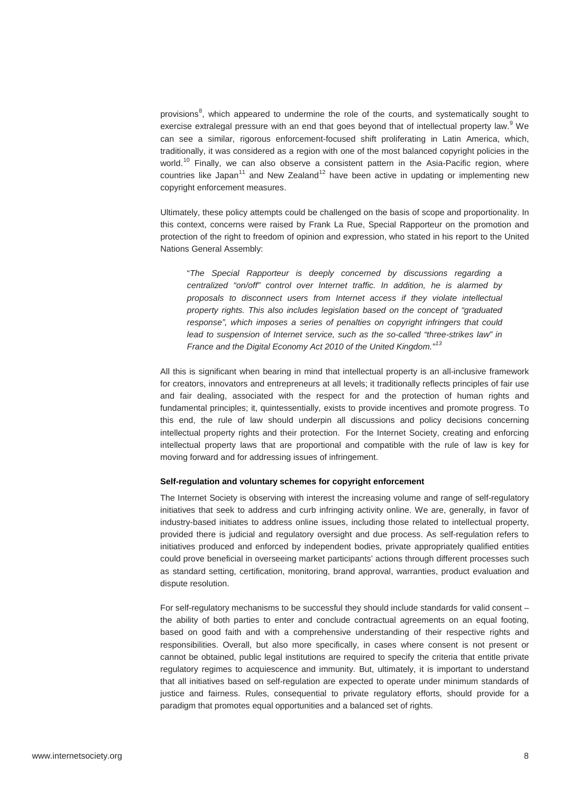provisions<sup>[8](#page-13-7)</sup>, which appeared to undermine the role of the courts, and systematically sought to exercise extralegal pressure with an end that goes beyond that of intellectual property law.<sup>[9](#page-13-8)</sup> We can see a similar, rigorous enforcement-focused shift proliferating in Latin America, which, traditionally, it was considered as a region with one of the most balanced copyright policies in the world.<sup>[10](#page-13-9)</sup> Finally, we can also observe a consistent pattern in the Asia-Pacific region, where countries like Japan<sup>[11](#page-13-10)</sup> and New Zealand<sup>[12](#page-13-11)</sup> have been active in updating or implementing new copyright enforcement measures.

Ultimately, these policy attempts could be challenged on the basis of scope and proportionality. In this context, concerns were raised by Frank La Rue, Special Rapporteur on the promotion and protection of the right to freedom of opinion and expression, who stated in his report to the United Nations General Assembly:

"*The Special Rapporteur is deeply concerned by discussions regarding a centralized "on/off" control over Internet traffic. In addition, he is alarmed by proposals to disconnect users from Internet access if they violate intellectual property rights. This also includes legislation based on the concept of "graduated response", which imposes a series of penalties on copyright infringers that could lead to suspension of Internet service, such as the so-called "three-strikes law" in France and the Digital Economy Act 2010 of the United Kingdom." [13](#page-13-12)*

All this is significant when bearing in mind that intellectual property is an all-inclusive framework for creators, innovators and entrepreneurs at all levels; it traditionally reflects principles of fair use and fair dealing, associated with the respect for and the protection of human rights and fundamental principles; it, quintessentially, exists to provide incentives and promote progress. To this end, the rule of law should underpin all discussions and policy decisions concerning intellectual property rights and their protection. For the Internet Society, creating and enforcing intellectual property laws that are proportional and compatible with the rule of law is key for moving forward and for addressing issues of infringement.

## **Self-regulation and voluntary schemes for copyright enforcement**

The Internet Society is observing with interest the increasing volume and range of self-regulatory initiatives that seek to address and curb infringing activity online. We are, generally, in favor of industry-based initiates to address online issues, including those related to intellectual property, provided there is judicial and regulatory oversight and due process. As self-regulation refers to initiatives produced and enforced by independent bodies, private appropriately qualified entities could prove beneficial in overseeing market participants' actions through different processes such as standard setting, certification, monitoring, brand approval, warranties, product evaluation and dispute resolution.

For self-regulatory mechanisms to be successful they should include standards for valid consent – the ability of both parties to enter and conclude contractual agreements on an equal footing, based on good faith and with a comprehensive understanding of their respective rights and responsibilities. Overall, but also more specifically, in cases where consent is not present or cannot be obtained, public legal institutions are required to specify the criteria that entitle private regulatory regimes to acquiescence and immunity. But, ultimately, it is important to understand that all initiatives based on self-regulation are expected to operate under minimum standards of justice and fairness. Rules, consequential to private regulatory efforts, should provide for a paradigm that promotes equal opportunities and a balanced set of rights.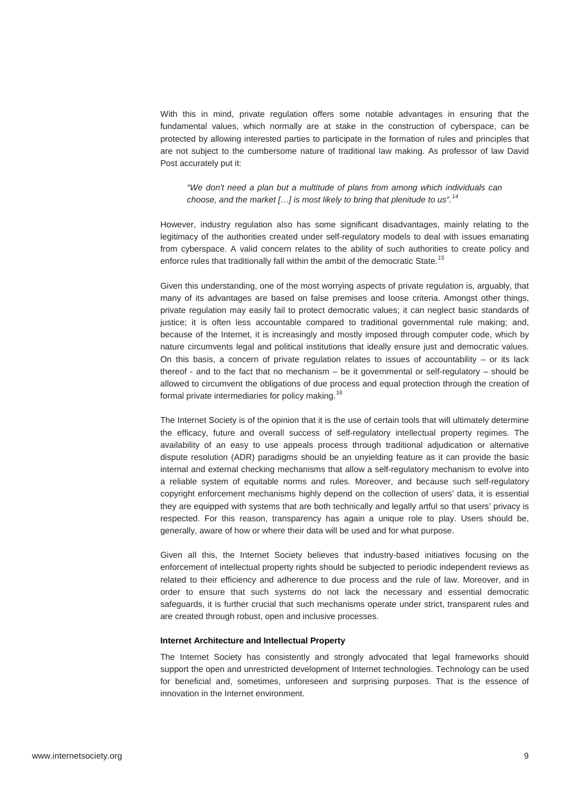With this in mind, private regulation offers some notable advantages in ensuring that the fundamental values, which normally are at stake in the construction of cyberspace, can be protected by allowing interested parties to participate in the formation of rules and principles that are not subject to the cumbersome nature of traditional law making. As professor of law David Post accurately put it:

*"We don't need a plan but a multitude of plans from among which individuals can choose, and the market […] is most likely to bring that plenitude to us". [14](#page-13-13)*

However, industry regulation also has some significant disadvantages, mainly relating to the legitimacy of the authorities created under self-regulatory models to deal with issues emanating from cyberspace. A valid concern relates to the ability of such authorities to create policy and enforce rules that traditionally fall within the ambit of the democratic State*. [15](#page-13-14)*

Given this understanding, one of the most worrying aspects of private regulation is, arguably, that many of its advantages are based on false premises and loose criteria. Amongst other things, private regulation may easily fail to protect democratic values; it can neglect basic standards of justice; it is often less accountable compared to traditional governmental rule making; and, because of the Internet, it is increasingly and mostly imposed through computer code, which by nature circumvents legal and political institutions that ideally ensure just and democratic values. On this basis, a concern of private regulation relates to issues of accountability  $-$  or its lack thereof - and to the fact that no mechanism – be it governmental or self-regulatory – should be allowed to circumvent the obligations of due process and equal protection through the creation of formal private intermediaries for policy making.<sup>[16](#page-13-15)</sup>

The Internet Society is of the opinion that it is the use of certain tools that will ultimately determine the efficacy, future and overall success of self-regulatory intellectual property regimes. The availability of an easy to use appeals process through traditional adjudication or alternative dispute resolution (ADR) paradigms should be an unyielding feature as it can provide the basic internal and external checking mechanisms that allow a self-regulatory mechanism to evolve into a reliable system of equitable norms and rules. Moreover, and because such self-regulatory copyright enforcement mechanisms highly depend on the collection of users' data, it is essential they are equipped with systems that are both technically and legally artful so that users' privacy is respected. For this reason, transparency has again a unique role to play. Users should be, generally, aware of how or where their data will be used and for what purpose.

Given all this, the Internet Society believes that industry-based initiatives focusing on the enforcement of intellectual property rights should be subjected to periodic independent reviews as related to their efficiency and adherence to due process and the rule of law. Moreover, and in order to ensure that such systems do not lack the necessary and essential democratic safeguards, it is further crucial that such mechanisms operate under strict, transparent rules and are created through robust, open and inclusive processes.

## **Internet Architecture and Intellectual Property**

The Internet Society has consistently and strongly advocated that legal frameworks should support the open and unrestricted development of Internet technologies. Technology can be used for beneficial and, sometimes, unforeseen and surprising purposes. That is the essence of innovation in the Internet environment.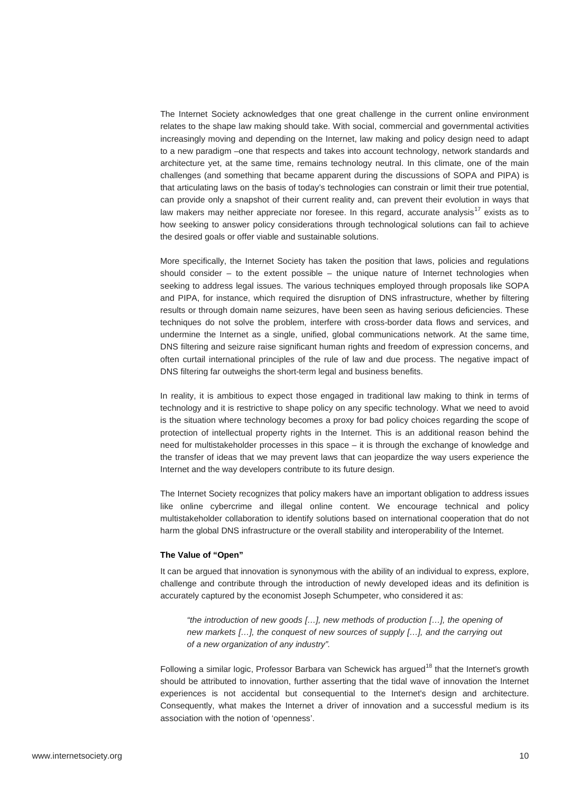The Internet Society acknowledges that one great challenge in the current online environment relates to the shape law making should take. With social, commercial and governmental activities increasingly moving and depending on the Internet, law making and policy design need to adapt to a new paradigm –one that respects and takes into account technology, network standards and architecture yet, at the same time, remains technology neutral. In this climate, one of the main challenges (and something that became apparent during the discussions of SOPA and PIPA) is that articulating laws on the basis of today's technologies can constrain or limit their true potential, can provide only a snapshot of their current reality and, can prevent their evolution in ways that law makers may neither appreciate nor foresee. In this regard, accurate analysis<sup>[17](#page-13-16)</sup> exists as to how seeking to answer policy considerations through technological solutions can fail to achieve the desired goals or offer viable and sustainable solutions.

More specifically, the Internet Society has taken the position that laws, policies and regulations should consider  $-$  to the extent possible  $-$  the unique nature of Internet technologies when seeking to address legal issues. The various techniques employed through proposals like SOPA and PIPA, for instance, which required the disruption of DNS infrastructure, whether by filtering results or through domain name seizures, have been seen as having serious deficiencies. These techniques do not solve the problem, interfere with cross-border data flows and services, and undermine the Internet as a single, unified, global communications network. At the same time, DNS filtering and seizure raise significant human rights and freedom of expression concerns, and often curtail international principles of the rule of law and due process. The negative impact of DNS filtering far outweighs the short-term legal and business benefits.

In reality, it is ambitious to expect those engaged in traditional law making to think in terms of technology and it is restrictive to shape policy on any specific technology. What we need to avoid is the situation where technology becomes a proxy for bad policy choices regarding the scope of protection of intellectual property rights in the Internet. This is an additional reason behind the need for multistakeholder processes in this space – it is through the exchange of knowledge and the transfer of ideas that we may prevent laws that can jeopardize the way users experience the Internet and the way developers contribute to its future design.

The Internet Society recognizes that policy makers have an important obligation to address issues like online cybercrime and illegal online content. We encourage technical and policy multistakeholder collaboration to identify solutions based on international cooperation that do not harm the global DNS infrastructure or the overall stability and interoperability of the Internet.

## **The Value of "Open"**

It can be argued that innovation is synonymous with the ability of an individual to express, explore, challenge and contribute through the introduction of newly developed ideas and its definition is accurately captured by the economist Joseph Schumpeter, who considered it as:

*"the introduction of new goods […], new methods of production […], the opening of new markets […], the conquest of new sources of supply […], and the carrying out of a new organization of any industry".* 

Following a similar logic, Professor Barbara van Schewick has argued<sup>[18](#page-13-17)</sup> that the Internet's growth should be attributed to innovation, further asserting that the tidal wave of innovation the Internet experiences is not accidental but consequential to the Internet's design and architecture. Consequently, what makes the Internet a driver of innovation and a successful medium is its association with the notion of 'openness'.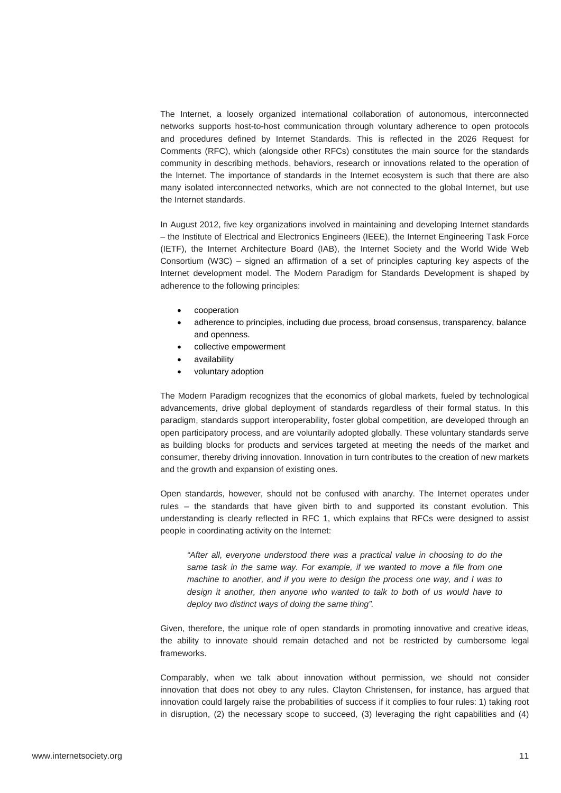The Internet, a loosely organized international collaboration of autonomous, interconnected networks supports host-to-host communication through voluntary adherence to open protocols and procedures defined by Internet Standards. This is reflected in the 2026 Request for Comments (RFC), which (alongside other RFCs) constitutes the main source for the standards community in describing methods, behaviors, research or innovations related to the operation of the Internet. The importance of standards in the Internet ecosystem is such that there are also many isolated interconnected networks, which are not connected to the global Internet, but use the Internet standards.

In August 2012, five key organizations involved in maintaining and developing Internet standards – the Institute of Electrical and Electronics Engineers (IEEE), the Internet Engineering Task Force (IETF), the Internet Architecture Board (IAB), the Internet Society and the World Wide Web Consortium (W3C) – signed an affirmation of a set of principles capturing key aspects of the Internet development model. The Modern Paradigm for Standards Development is shaped by adherence to the following principles:

- cooperation
- adherence to principles, including due process, broad consensus, transparency, balance and openness.
- collective empowerment
- availability
- voluntary adoption

The Modern Paradigm recognizes that the economics of global markets, fueled by technological advancements, drive global deployment of standards regardless of their formal status. In this paradigm, standards support interoperability, foster global competition, are developed through an open participatory process, and are voluntarily adopted globally. These voluntary standards serve as building blocks for products and services targeted at meeting the needs of the market and consumer, thereby driving innovation. Innovation in turn contributes to the creation of new markets and the growth and expansion of existing ones.

Open standards, however, should not be confused with anarchy. The Internet operates under rules – the standards that have given birth to and supported its constant evolution. This understanding is clearly reflected in RFC 1, which explains that RFCs were designed to assist people in coordinating activity on the Internet:

*"After all, everyone understood there was a practical value in choosing to do the same task in the same way. For example, if we wanted to move a file from one machine to another, and if you were to design the process one way, and I was to design it another, then anyone who wanted to talk to both of us would have to deploy two distinct ways of doing the same thing".* 

Given, therefore, the unique role of open standards in promoting innovative and creative ideas, the ability to innovate should remain detached and not be restricted by cumbersome legal frameworks.

Comparably, when we talk about innovation without permission, we should not consider innovation that does not obey to any rules. Clayton Christensen, for instance, has argued that innovation could largely raise the probabilities of success if it complies to four rules: 1) taking root in disruption, (2) the necessary scope to succeed, (3) leveraging the right capabilities and (4)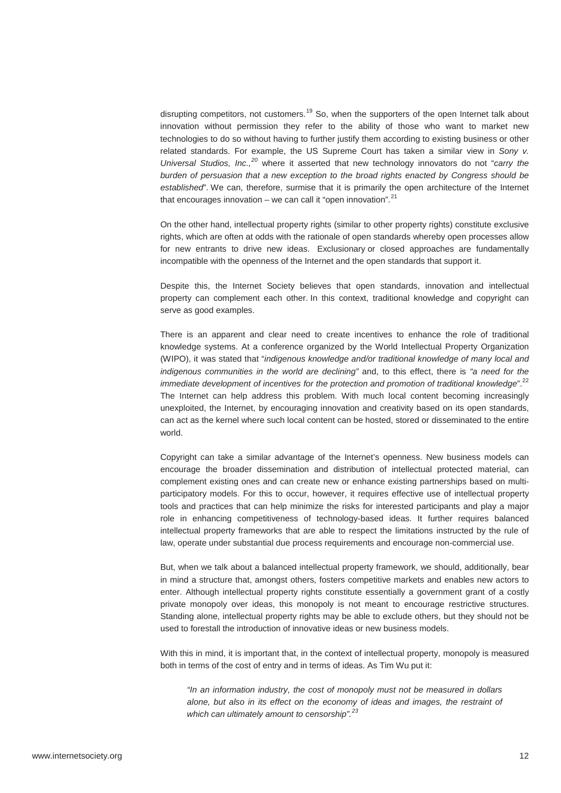disrupting competitors, not customers.<sup>[19](#page-13-18)</sup> So, when the supporters of the open Internet talk about innovation without permission they refer to the ability of those who want to market new technologies to do so without having to further justify them according to existing business or other related standards. For example, the US Supreme Court has taken a similar view in *Sony v. Universal Studios, Inc.,[20](#page-13-19)* where it asserted that new technology innovators do not "*carry the burden of persuasion that a new exception to the broad rights enacted by Congress should be established*". We can, therefore, surmise that it is primarily the open architecture of the Internet that encourages innovation – we can call it "open innovation".<sup>[21](#page-13-20)</sup>

On the other hand, intellectual property rights (similar to other property rights) constitute exclusive rights, which are often at odds with the rationale of open standards whereby open processes allow for new entrants to drive new ideas. Exclusionary or closed approaches are fundamentally incompatible with the openness of the Internet and the open standards that support it.

Despite this, the Internet Society believes that open standards, innovation and intellectual property can complement each other. In this context, traditional knowledge and copyright can serve as good examples.

There is an apparent and clear need to create incentives to enhance the role of traditional knowledge systems. At a conference organized by the World Intellectual Property Organization (WIPO), it was stated that "*indigenous knowledge and/or traditional knowledge of many local and indigenous communities in the world are declining"* and, to this effect, there is *"a need for the*  immediate development of incentives for the protection and promotion of traditional knowledge".<sup>[22](#page-13-21)</sup> The Internet can help address this problem. With much local content becoming increasingly unexploited, the Internet, by encouraging innovation and creativity based on its open standards, can act as the kernel where such local content can be hosted, stored or disseminated to the entire world.

Copyright can take a similar advantage of the Internet's openness. New business models can encourage the broader dissemination and distribution of intellectual protected material, can complement existing ones and can create new or enhance existing partnerships based on multiparticipatory models. For this to occur, however, it requires effective use of intellectual property tools and practices that can help minimize the risks for interested participants and play a major role in enhancing competitiveness of technology-based ideas. It further requires balanced intellectual property frameworks that are able to respect the limitations instructed by the rule of law, operate under substantial due process requirements and encourage non-commercial use.

But, when we talk about a balanced intellectual property framework, we should, additionally, bear in mind a structure that, amongst others, fosters competitive markets and enables new actors to enter. Although intellectual property rights constitute essentially a government grant of a costly private monopoly over ideas, this monopoly is not meant to encourage restrictive structures. Standing alone, intellectual property rights may be able to exclude others, but they should not be used to forestall the introduction of innovative ideas or new business models.

With this in mind, it is important that, in the context of intellectual property, monopoly is measured both in terms of the cost of entry and in terms of ideas. As Tim Wu put it:

*"In an information industry, the cost of monopoly must not be measured in dollars alone, but also in its effect on the economy of ideas and images, the restraint of which can ultimately amount to censorship". [23](#page-13-22)*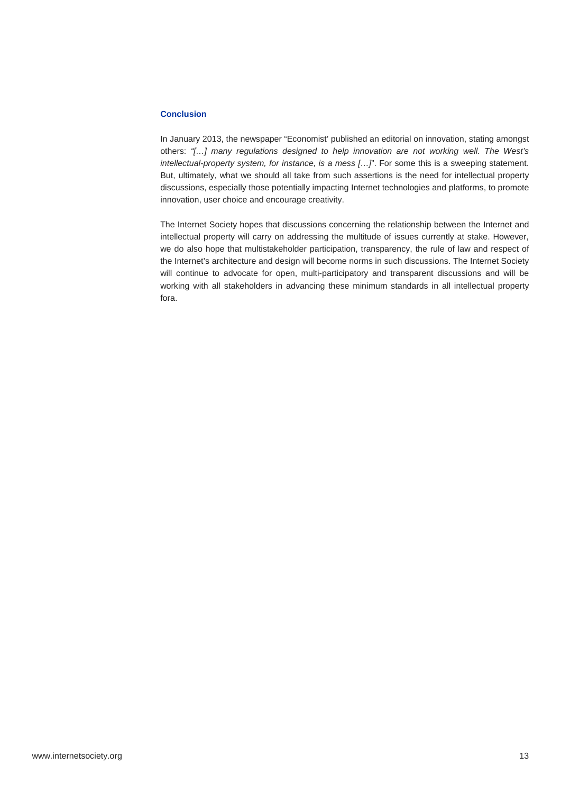## **Conclusion**

In January 2013, the newspaper "Economist' published an editorial on innovation, stating amongst others: *"[…] many regulations designed to help innovation are not working well. The West's intellectual-property system, for instance, is a mess […]*". For some this is a sweeping statement. But, ultimately, what we should all take from such assertions is the need for intellectual property discussions, especially those potentially impacting Internet technologies and platforms, to promote innovation, user choice and encourage creativity.

The Internet Society hopes that discussions concerning the relationship between the Internet and intellectual property will carry on addressing the multitude of issues currently at stake. However, we do also hope that multistakeholder participation, transparency, the rule of law and respect of the Internet's architecture and design will become norms in such discussions. The Internet Society will continue to advocate for open, multi-participatory and transparent discussions and will be working with all stakeholders in advancing these minimum standards in all intellectual property fora.